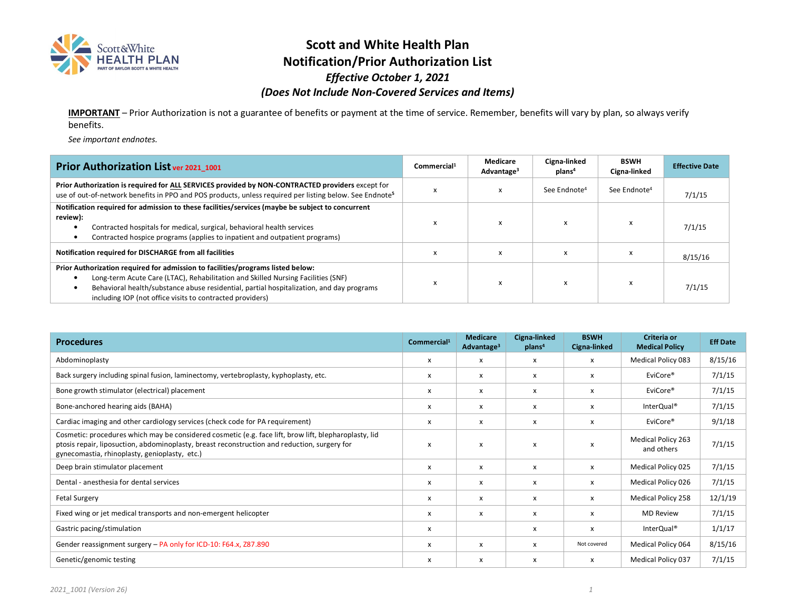

### **Scott and White Health Plan Notification/Prior Authorization List**  *Effective October 1, 2021 (Does Not Include Non-Covered Services and Items)*

**IMPORTANT** – Prior Authorization is not a guarantee of benefits or payment at the time of service. Remember, benefits will vary by plan, so always verify benefits.

*See important endnotes.* 

| Prior Authorization List ver 2021_1001                                                                                                                                                                                                                                                                                       | Commercial <sup>1</sup> | Medicare<br>Advantage <sup>3</sup> | Cigna-linked<br>plans <sup>4</sup> | <b>BSWH</b><br>Cigna-linked | <b>Effective Date</b> |
|------------------------------------------------------------------------------------------------------------------------------------------------------------------------------------------------------------------------------------------------------------------------------------------------------------------------------|-------------------------|------------------------------------|------------------------------------|-----------------------------|-----------------------|
| Prior Authorization is required for ALL SERVICES provided by NON-CONTRACTED providers except for<br>use of out-of-network benefits in PPO and POS products, unless required per listing below. See Endnote <sup>5</sup>                                                                                                      | x                       |                                    | See Endnote <sup>4</sup>           | See Endnote <sup>4</sup>    | 7/1/15                |
| Notification required for admission to these facilities/services (maybe be subject to concurrent<br>review):<br>Contracted hospitals for medical, surgical, behavioral health services<br>$\bullet$<br>Contracted hospice programs (applies to inpatient and outpatient programs)<br>$\bullet$                               | x                       |                                    |                                    |                             | 7/1/15                |
| Notification required for DISCHARGE from all facilities                                                                                                                                                                                                                                                                      | x                       | $\boldsymbol{\mathsf{x}}$          | X                                  |                             | 8/15/16               |
| Prior Authorization required for admission to facilities/programs listed below:<br>Long-term Acute Care (LTAC), Rehabilitation and Skilled Nursing Facilities (SNF)<br>Behavioral health/substance abuse residential, partial hospitalization, and day programs<br>including IOP (not office visits to contracted providers) | x                       | x                                  |                                    |                             | 7/1/15                |

| <b>Procedures</b>                                                                                                                                                                                                                                      | Commercial <sup>1</sup>   | <b>Medicare</b><br>Advantage <sup>3</sup> | Cigna-linked<br>plans <sup>4</sup> | <b>BSWH</b><br>Cigna-linked | Criteria or<br><b>Medical Policy</b>    | <b>Eff Date</b> |
|--------------------------------------------------------------------------------------------------------------------------------------------------------------------------------------------------------------------------------------------------------|---------------------------|-------------------------------------------|------------------------------------|-----------------------------|-----------------------------------------|-----------------|
| Abdominoplasty                                                                                                                                                                                                                                         | х                         | х                                         | x                                  | x                           | <b>Medical Policy 083</b>               | 8/15/16         |
| Back surgery including spinal fusion, laminectomy, vertebroplasty, kyphoplasty, etc.                                                                                                                                                                   | х                         | x                                         | x                                  | x                           | EviCore <sup>®</sup>                    | 7/1/15          |
| Bone growth stimulator (electrical) placement                                                                                                                                                                                                          | х                         | х                                         | x                                  | x                           | EviCore®                                | 7/1/15          |
| Bone-anchored hearing aids (BAHA)                                                                                                                                                                                                                      | x                         | x                                         | x                                  | x                           | InterQual <sup>®</sup>                  | 7/1/15          |
| Cardiac imaging and other cardiology services (check code for PA requirement)                                                                                                                                                                          | x                         | X                                         | x                                  | x                           | EviCore <sup>®</sup>                    | 9/1/18          |
| Cosmetic: procedures which may be considered cosmetic (e.g. face lift, brow lift, blepharoplasty, lid<br>ptosis repair, liposuction, abdominoplasty, breast reconstruction and reduction, surgery for<br>gynecomastia, rhinoplasty, genioplasty, etc.) | x                         | X                                         | X                                  | x                           | <b>Medical Policy 263</b><br>and others | 7/1/15          |
| Deep brain stimulator placement                                                                                                                                                                                                                        | $\boldsymbol{\mathsf{x}}$ | X                                         | x                                  | X                           | Medical Policy 025                      | 7/1/15          |
| Dental - anesthesia for dental services                                                                                                                                                                                                                | X                         | x                                         | x                                  | x                           | Medical Policy 026                      | 7/1/15          |
| <b>Fetal Surgery</b>                                                                                                                                                                                                                                   | x                         | X                                         | x                                  | x                           | Medical Policy 258                      | 12/1/19         |
| Fixed wing or jet medical transports and non-emergent helicopter                                                                                                                                                                                       | x                         | x                                         | X                                  | x                           | <b>MD Review</b>                        | 7/1/15          |
| Gastric pacing/stimulation                                                                                                                                                                                                                             | x                         |                                           | x                                  | x                           | InterQual <sup>®</sup>                  | 1/1/17          |
| Gender reassignment surgery - PA only for ICD-10: F64.x, Z87.890                                                                                                                                                                                       | x                         | x                                         | x                                  | Not covered                 | Medical Policy 064                      | 8/15/16         |
| Genetic/genomic testing                                                                                                                                                                                                                                | x                         | X                                         | x                                  | x                           | Medical Policy 037                      | 7/1/15          |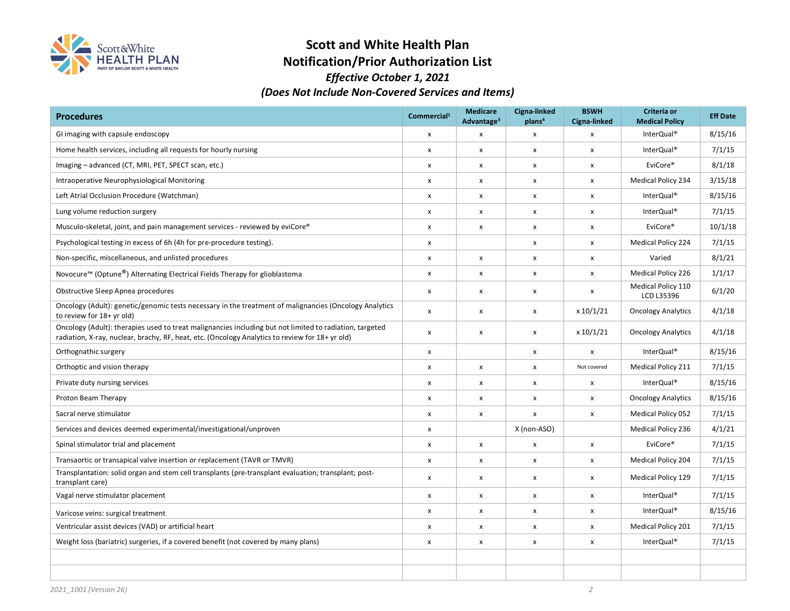

# **Scott and White Health Plan Notification/Prior Authorization List**

### *Effective October 1, 2021 (Does Not Include Non-Covered Services and Items)*

| <b>Procedures</b>                                                                                                                                                                                          | Commercial <sup>1</sup>   | <b>Medicare</b><br>Advantage <sup>3</sup> | Cigna-linked<br>plans <sup>4</sup> | <b>BSWH</b><br>Cigna-linked | Criteria or<br><b>Medical Policy</b> | <b>Eff Date</b> |
|------------------------------------------------------------------------------------------------------------------------------------------------------------------------------------------------------------|---------------------------|-------------------------------------------|------------------------------------|-----------------------------|--------------------------------------|-----------------|
| GI imaging with capsule endoscopy                                                                                                                                                                          | $\pmb{\times}$            | $\pmb{\times}$                            | X                                  | $\pmb{\times}$              | InterQual <sup>®</sup>               | 8/15/16         |
| Home health services, including all requests for hourly nursing                                                                                                                                            | $\pmb{\times}$            | $\pmb{\mathsf{X}}$                        | x                                  | $\pmb{\times}$              | InterQual <sup>®</sup>               | 7/1/15          |
| Imaging - advanced (CT, MRI, PET, SPECT scan, etc.)                                                                                                                                                        | $\pmb{\times}$            | X                                         | X                                  | $\pmb{\mathsf{x}}$          | EviCore <sup>®</sup>                 | 8/1/18          |
| Intraoperative Neurophysiological Monitoring                                                                                                                                                               | $\boldsymbol{\mathsf{x}}$ | X                                         | x                                  | X                           | <b>Medical Policy 234</b>            | 3/15/18         |
| Left Atrial Occlusion Procedure (Watchman)                                                                                                                                                                 | x                         | X                                         | x                                  | X                           | InterQual®                           | 8/15/16         |
| Lung volume reduction surgery                                                                                                                                                                              | $\pmb{\times}$            | x                                         | x                                  | $\pmb{\mathsf{x}}$          | InterQual <sup>®</sup>               | 7/1/15          |
| Musculo-skeletal, joint, and pain management services - reviewed by eviCore®                                                                                                                               | $\pmb{\mathsf{x}}$        | X                                         | X                                  | $\pmb{\mathsf{x}}$          | EviCore <sup>®</sup>                 | 10/1/18         |
| Psychological testing in excess of 6h (4h for pre-procedure testing).                                                                                                                                      | $\pmb{\times}$            |                                           | x                                  | $\pmb{\mathsf{x}}$          | <b>Medical Policy 224</b>            | 7/1/15          |
| Non-specific, miscellaneous, and unlisted procedures                                                                                                                                                       | $\pmb{\mathsf{X}}$        | X                                         | x                                  | X                           | Varied                               | 8/1/21          |
| Novocure <sup>™</sup> (Optune <sup>®</sup> ) Alternating Electrical Fields Therapy for glioblastoma                                                                                                        | $\pmb{\times}$            | X                                         | x                                  | $\pmb{\chi}$                | <b>Medical Policy 226</b>            | 1/1/17          |
| Obstructive Sleep Apnea procedures                                                                                                                                                                         | $\pmb{\times}$            | X                                         | X                                  | X                           | Medical Policy 110<br>LCD L35396     | 6/1/20          |
| Oncology (Adult): genetic/genomic tests necessary in the treatment of malignancies (Oncology Analytics<br>to review for 18+ yr old)                                                                        | X                         | X                                         | x                                  | x 10/1/21                   | <b>Oncology Analytics</b>            | 4/1/18          |
| Oncology (Adult): therapies used to treat malignancies including but not limited to radiation, targeted<br>radiation, X-ray, nuclear, brachy, RF, heat, etc. (Oncology Analytics to review for 18+ yr old) | $\pmb{\mathsf{X}}$        | $\pmb{\mathsf{X}}$                        | x                                  | x 10/1/21                   | <b>Oncology Analytics</b>            | 4/1/18          |
| Orthognathic surgery                                                                                                                                                                                       | $\pmb{\mathsf{X}}$        |                                           | x                                  | $\pmb{\mathsf{x}}$          | InterQual <sup>®</sup>               | 8/15/16         |
| Orthoptic and vision therapy                                                                                                                                                                               | $\pmb{\mathsf{X}}$        | $\pmb{\mathsf{X}}$                        | X                                  | Not covered                 | Medical Policy 211                   | 7/1/15          |
| Private duty nursing services                                                                                                                                                                              | $\pmb{\mathsf{X}}$        | x                                         | x                                  | $\pmb{\mathsf{x}}$          | InterQual <sup>®</sup>               | 8/15/16         |
| Proton Beam Therapy                                                                                                                                                                                        | $\pmb{\mathsf{X}}$        | X                                         | x                                  | $\pmb{\mathsf{x}}$          | <b>Oncology Analytics</b>            | 8/15/16         |
| Sacral nerve stimulator                                                                                                                                                                                    | $\boldsymbol{\mathsf{x}}$ | X                                         | x                                  | $\pmb{\mathsf{X}}$          | <b>Medical Policy 052</b>            | 7/1/15          |
| Services and devices deemed experimental/investigational/unproven                                                                                                                                          | $\pmb{\mathsf{x}}$        |                                           | X (non-ASO)                        |                             | <b>Medical Policy 236</b>            | 4/1/21          |
| Spinal stimulator trial and placement                                                                                                                                                                      | $\pmb{\times}$            | X                                         | X                                  | $\pmb{\mathsf{x}}$          | EviCore <sup>®</sup>                 | 7/1/15          |
| Transaortic or transapical valve insertion or replacement (TAVR or TMVR)                                                                                                                                   | $\pmb{\mathsf{X}}$        | X                                         | x                                  | X                           | <b>Medical Policy 204</b>            | 7/1/15          |
| Transplantation: solid organ and stem cell transplants (pre-transplant evaluation; transplant; post-<br>transplant care)                                                                                   | $\pmb{\times}$            | X                                         | X                                  | $\pmb{\mathsf{x}}$          | Medical Policy 129                   | 7/1/15          |
| Vagal nerve stimulator placement                                                                                                                                                                           | $\pmb{\mathsf{X}}$        | x                                         | x                                  | X                           | InterQual <sup>®</sup>               | 7/1/15          |
| Varicose veins: surgical treatment                                                                                                                                                                         | $\pmb{\times}$            | X                                         | x                                  | X                           | InterQual <sup>®</sup>               | 8/15/16         |
| Ventricular assist devices (VAD) or artificial heart                                                                                                                                                       | $\pmb{\times}$            | x                                         | x                                  | $\pmb{\mathsf{x}}$          | <b>Medical Policy 201</b>            | 7/1/15          |
| Weight loss (bariatric) surgeries, if a covered benefit (not covered by many plans)                                                                                                                        | X                         | x                                         | x                                  | $\pmb{\mathsf{x}}$          | InterQual <sup>®</sup>               | 7/1/15          |
|                                                                                                                                                                                                            |                           |                                           |                                    |                             |                                      |                 |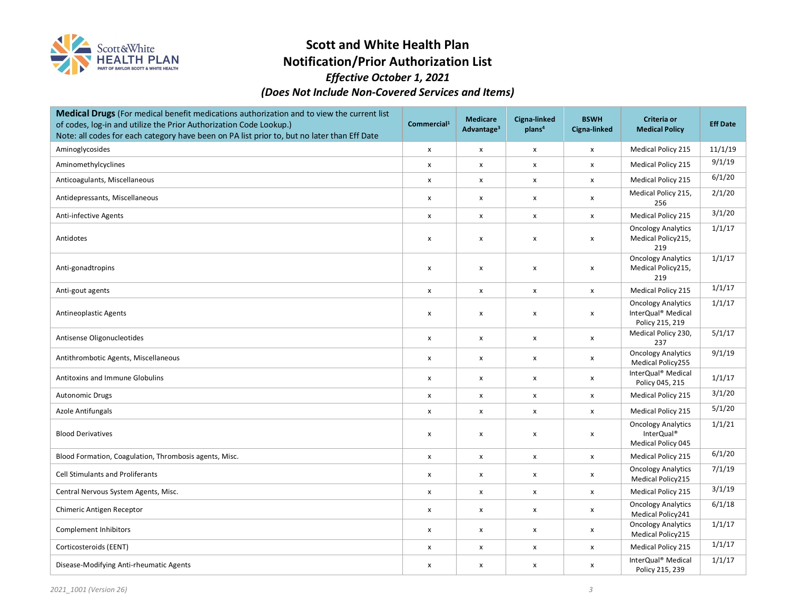

# **Scott and White Health Plan Notification/Prior Authorization List**

### *Effective October 1, 2021 (Does Not Include Non-Covered Services and Items)*

| Medical Drugs (For medical benefit medications authorization and to view the current list<br>of codes, log-in and utilize the Prior Authorization Code Lookup.)<br>Note: all codes for each category have been on PA list prior to, but no later than Eff Date | Commercial <sup>1</sup>   | <b>Medicare</b><br>Advantage <sup>3</sup> | Cigna-linked<br>plans <sup>4</sup> | <b>BSWH</b><br>Cigna-linked | Criteria or<br><b>Medical Policy</b>                               | <b>Eff Date</b> |
|----------------------------------------------------------------------------------------------------------------------------------------------------------------------------------------------------------------------------------------------------------------|---------------------------|-------------------------------------------|------------------------------------|-----------------------------|--------------------------------------------------------------------|-----------------|
| Aminoglycosides                                                                                                                                                                                                                                                | $\pmb{\times}$            | $\pmb{\mathsf{X}}$                        | X                                  | $\pmb{\mathsf{x}}$          | Medical Policy 215                                                 | 11/1/19         |
| Aminomethylcyclines                                                                                                                                                                                                                                            | $\boldsymbol{\mathsf{x}}$ | $\boldsymbol{\mathsf{x}}$                 | x                                  | X                           | Medical Policy 215                                                 | 9/1/19          |
| Anticoagulants, Miscellaneous                                                                                                                                                                                                                                  | X                         | X                                         | X                                  | $\pmb{\mathsf{x}}$          | Medical Policy 215                                                 | 6/1/20          |
| Antidepressants, Miscellaneous                                                                                                                                                                                                                                 | X                         | X                                         | X                                  | X                           | Medical Policy 215,<br>256                                         | 2/1/20          |
| Anti-infective Agents                                                                                                                                                                                                                                          | $\pmb{\mathsf{x}}$        | X                                         | X                                  | $\pmb{\mathsf{x}}$          | <b>Medical Policy 215</b>                                          | 3/1/20          |
| Antidotes                                                                                                                                                                                                                                                      | $\pmb{\times}$            | X                                         | X                                  | X                           | <b>Oncology Analytics</b><br>Medical Policy215,<br>219             | 1/1/17          |
| Anti-gonadtropins                                                                                                                                                                                                                                              | X                         | $\pmb{\mathsf{x}}$                        | X                                  | X                           | <b>Oncology Analytics</b><br>Medical Policy215,<br>219             | 1/1/17          |
| Anti-gout agents                                                                                                                                                                                                                                               | $\pmb{\times}$            | $\pmb{\mathsf{X}}$                        | $\pmb{\mathsf{x}}$                 | $\pmb{\mathsf{x}}$          | Medical Policy 215                                                 | 1/1/17          |
| <b>Antineoplastic Agents</b>                                                                                                                                                                                                                                   | X                         | X                                         | X                                  | X                           | <b>Oncology Analytics</b><br>InterQual® Medical<br>Policy 215, 219 | 1/1/17          |
| Antisense Oligonucleotides                                                                                                                                                                                                                                     | X                         | X                                         | X                                  | X                           | Medical Policy 230,<br>237                                         | 5/1/17          |
| Antithrombotic Agents, Miscellaneous                                                                                                                                                                                                                           | X                         | X                                         | X                                  | X                           | <b>Oncology Analytics</b><br>Medical Policy255                     | 9/1/19          |
| <b>Antitoxins and Immune Globulins</b>                                                                                                                                                                                                                         | $\pmb{\mathsf{x}}$        | X                                         | X                                  | X                           | InterQual® Medical<br>Policy 045, 215                              | 1/1/17          |
| <b>Autonomic Drugs</b>                                                                                                                                                                                                                                         | X                         | X                                         | X                                  | X                           | Medical Policy 215                                                 | 3/1/20          |
| Azole Antifungals                                                                                                                                                                                                                                              | X                         | X                                         | X                                  | $\pmb{\mathsf{x}}$          | Medical Policy 215                                                 | 5/1/20          |
| <b>Blood Derivatives</b>                                                                                                                                                                                                                                       | $\boldsymbol{\mathsf{x}}$ | X                                         | X                                  | X                           | <b>Oncology Analytics</b><br>InterQual®<br>Medical Policy 045      | 1/1/21          |
| Blood Formation, Coagulation, Thrombosis agents, Misc.                                                                                                                                                                                                         | $\boldsymbol{\mathsf{x}}$ | X                                         | x                                  | X                           | <b>Medical Policy 215</b>                                          | 6/1/20          |
| <b>Cell Stimulants and Proliferants</b>                                                                                                                                                                                                                        | $\boldsymbol{\mathsf{x}}$ | X                                         | X                                  | X                           | <b>Oncology Analytics</b><br>Medical Policy215                     | 7/1/19          |
| Central Nervous System Agents, Misc.                                                                                                                                                                                                                           | $\pmb{\times}$            | X                                         | X                                  | $\pmb{\mathsf{x}}$          | <b>Medical Policy 215</b>                                          | 3/1/19          |
| Chimeric Antigen Receptor                                                                                                                                                                                                                                      | $\boldsymbol{\mathsf{x}}$ | $\boldsymbol{\mathsf{x}}$                 | X                                  | X                           | <b>Oncology Analytics</b><br>Medical Policy241                     | 6/1/18          |
| Complement Inhibitors                                                                                                                                                                                                                                          | $\pmb{\mathsf{X}}$        | X                                         | x                                  | X                           | <b>Oncology Analytics</b><br>Medical Policy215                     | 1/1/17          |
| Corticosteroids (EENT)                                                                                                                                                                                                                                         | X                         | X                                         | X                                  | $\pmb{\mathsf{x}}$          | Medical Policy 215                                                 | 1/1/17          |
| Disease-Modifying Anti-rheumatic Agents                                                                                                                                                                                                                        | X                         | X                                         | X                                  | X                           | InterQual <sup>®</sup> Medical<br>Policy 215, 239                  | 1/1/17          |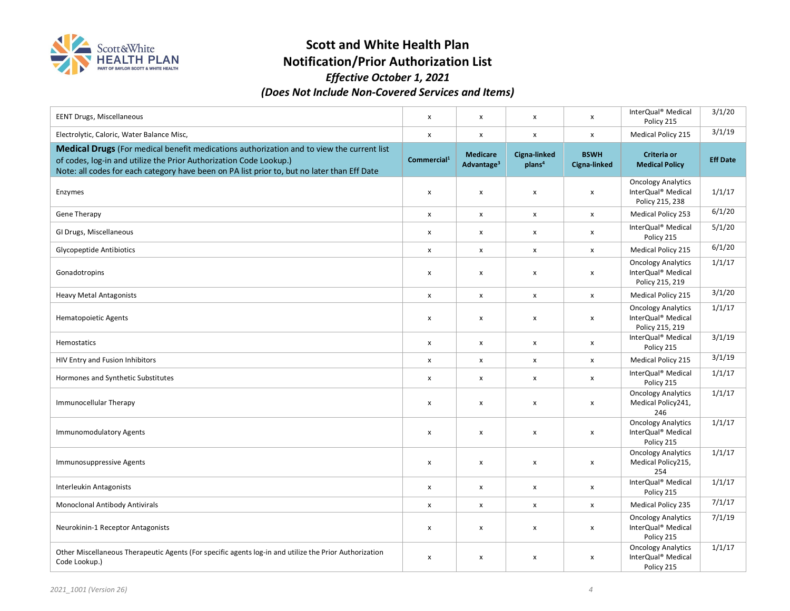

# **Scott and White Health Plan**

# **Notification/Prior Authorization List**  *Effective October 1, 2021*

| (Does Not Include Non-Covered Services and Items) |  |  |  |  |                                                                                                   |        |  |
|---------------------------------------------------|--|--|--|--|---------------------------------------------------------------------------------------------------|--------|--|
| EENT Drugs, Miscellaneous                         |  |  |  |  | InterQual® Medical<br>Policy 215                                                                  | 3/1/20 |  |
|                                                   |  |  |  |  | $\mathbf{A} \cdot \mathbf{A}$ and $\mathbf{A} \cdot \mathbf{A}$ and $\mathbf{A} \cdot \mathbf{A}$ | 3/1/19 |  |

| Electrolytic, Caloric, Water Balance Misc,                                                                                                                                                                                                                     | x                       | $\pmb{\times}$                            | $\pmb{\times}$                     | x                           | Medical Policy 215                                                             | 3/1/19          |
|----------------------------------------------------------------------------------------------------------------------------------------------------------------------------------------------------------------------------------------------------------------|-------------------------|-------------------------------------------|------------------------------------|-----------------------------|--------------------------------------------------------------------------------|-----------------|
| Medical Drugs (For medical benefit medications authorization and to view the current list<br>of codes, log-in and utilize the Prior Authorization Code Lookup.)<br>Note: all codes for each category have been on PA list prior to, but no later than Eff Date | Commercial <sup>1</sup> | <b>Medicare</b><br>Advantage <sup>3</sup> | Cigna-linked<br>plans <sup>4</sup> | <b>BSWH</b><br>Cigna-linked | Criteria or<br><b>Medical Policy</b>                                           | <b>Eff Date</b> |
| Enzymes                                                                                                                                                                                                                                                        | x                       | X                                         | X                                  | x                           | <b>Oncology Analytics</b><br>InterQual® Medical<br>Policy 215, 238             | 1/1/17          |
| <b>Gene Therapy</b>                                                                                                                                                                                                                                            | x                       | X                                         | x                                  | x                           | <b>Medical Policy 253</b>                                                      | 6/1/20          |
| GI Drugs, Miscellaneous                                                                                                                                                                                                                                        | x                       | x                                         | x                                  | x                           | InterQual® Medical<br>Policy 215                                               | 5/1/20          |
| <b>Glycopeptide Antibiotics</b>                                                                                                                                                                                                                                | x                       | x                                         | x                                  | x                           | <b>Medical Policy 215</b>                                                      | 6/1/20          |
| Gonadotropins                                                                                                                                                                                                                                                  | x                       | $\pmb{\times}$                            | X                                  | x                           | <b>Oncology Analytics</b><br>InterQual® Medical<br>Policy 215, 219             | 1/1/17          |
| <b>Heavy Metal Antagonists</b>                                                                                                                                                                                                                                 | $\pmb{\mathsf{x}}$      | X                                         | X                                  | x                           | Medical Policy 215                                                             | 3/1/20          |
| <b>Hematopoietic Agents</b>                                                                                                                                                                                                                                    | x                       | X                                         | X                                  | x                           | <b>Oncology Analytics</b><br>InterQual <sup>®</sup> Medical<br>Policy 215, 219 | 1/1/17          |
| Hemostatics                                                                                                                                                                                                                                                    | x                       | X                                         | X                                  | x                           | InterQual® Medical<br>Policy 215                                               | 3/1/19          |
| HIV Entry and Fusion Inhibitors                                                                                                                                                                                                                                | x                       | X                                         | X                                  | x                           | <b>Medical Policy 215</b>                                                      | 3/1/19          |
| Hormones and Synthetic Substitutes                                                                                                                                                                                                                             | x                       | X                                         | x                                  | x                           | InterQual <sup>®</sup> Medical<br>Policy 215                                   | 1/1/17          |
| Immunocellular Therapy                                                                                                                                                                                                                                         | x                       | X                                         | x                                  | x                           | <b>Oncology Analytics</b><br>Medical Policy241,<br>246                         | 1/1/17          |
| Immunomodulatory Agents                                                                                                                                                                                                                                        | x                       | X                                         | X                                  | x                           | <b>Oncology Analytics</b><br>InterQual <sup>®</sup> Medical<br>Policy 215      | 1/1/17          |
| <b>Immunosuppressive Agents</b>                                                                                                                                                                                                                                | x                       | x                                         | x                                  | x                           | <b>Oncology Analytics</b><br>Medical Policy215,<br>254                         | 1/1/17          |
| <b>Interleukin Antagonists</b>                                                                                                                                                                                                                                 | x                       | X                                         | X                                  | x                           | InterQual® Medical<br>Policy 215                                               | 1/1/17          |
| Monoclonal Antibody Antivirals                                                                                                                                                                                                                                 | X                       | X                                         | X                                  | x                           | Medical Policy 235                                                             | 7/1/17          |
| Neurokinin-1 Receptor Antagonists                                                                                                                                                                                                                              | x                       | $\pmb{\times}$                            | X                                  | x                           | <b>Oncology Analytics</b><br>InterQual® Medical<br>Policy 215                  | 7/1/19          |
| Other Miscellaneous Therapeutic Agents (For specific agents log-in and utilize the Prior Authorization<br>Code Lookup.)                                                                                                                                        | x                       | X                                         | x                                  | x                           | <b>Oncology Analytics</b><br>InterQual® Medical<br>Policy 215                  | 1/1/17          |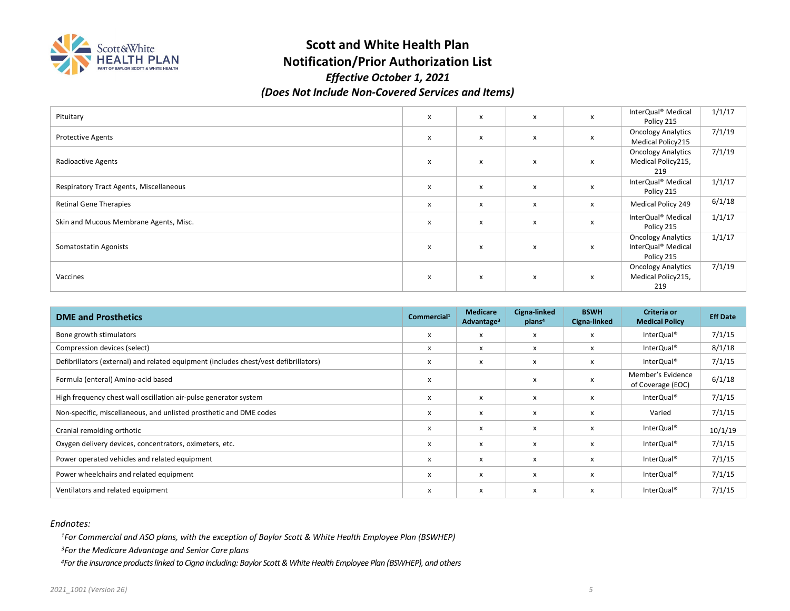

# **Scott and White Health Plan Notification/Prior Authorization List**

### *Effective October 1, 2021 (Does Not Include Non-Covered Services and Items)*

| Pituitary                               | $\mathsf{x}$ | X            | x | x | InterQual® Medical<br>Policy 215                                          | 1/1/17 |
|-----------------------------------------|--------------|--------------|---|---|---------------------------------------------------------------------------|--------|
| <b>Protective Agents</b>                | $\mathsf{x}$ | $\mathsf{x}$ | x | x | <b>Oncology Analytics</b><br>Medical Policy215                            | 7/1/19 |
| Radioactive Agents                      | x            | x            | x | x | <b>Oncology Analytics</b><br>Medical Policy215,<br>219                    | 7/1/19 |
| Respiratory Tract Agents, Miscellaneous | $\mathsf{x}$ | x            | x | x | InterQual <sup>®</sup> Medical<br>Policy 215                              | 1/1/17 |
| <b>Retinal Gene Therapies</b>           | x            | x            | x | x | <b>Medical Policy 249</b>                                                 | 6/1/18 |
| Skin and Mucous Membrane Agents, Misc.  | x            | x            | x | x | InterQual <sup>®</sup> Medical<br>Policy 215                              | 1/1/17 |
| Somatostatin Agonists                   | X            | x            | x | x | <b>Oncology Analytics</b><br>InterQual <sup>®</sup> Medical<br>Policy 215 | 1/1/17 |
| Vaccines                                | X            | x            | x | x | <b>Oncology Analytics</b><br>Medical Policy215,<br>219                    | 7/1/19 |

| <b>DME and Prosthetics</b>                                                           | Commercial <sup>1</sup> | <b>Medicare</b><br>Advantage <sup>3</sup> | Cigna-linked<br>plan <sup>4</sup> | <b>BSWH</b><br>Cigna-linked | Criteria or<br><b>Medical Policy</b>   | <b>Eff Date</b> |
|--------------------------------------------------------------------------------------|-------------------------|-------------------------------------------|-----------------------------------|-----------------------------|----------------------------------------|-----------------|
| Bone growth stimulators                                                              | x                       | х                                         |                                   | x                           | InterQual <sup>®</sup>                 | 7/1/15          |
| Compression devices (select)                                                         | x                       | $\boldsymbol{\mathsf{x}}$                 | x                                 | x                           | InterQual <sup>®</sup>                 | 8/1/18          |
| Defibrillators (external) and related equipment (includes chest/vest defibrillators) | x                       | X                                         | x                                 | x                           | InterQual <sup>®</sup>                 | 7/1/15          |
| Formula (enteral) Amino-acid based                                                   | X                       |                                           |                                   | x                           | Member's Evidence<br>of Coverage (EOC) | 6/1/18          |
| High frequency chest wall oscillation air-pulse generator system                     | X                       | $\boldsymbol{\mathsf{x}}$                 | x                                 | x                           | InterQual <sup>®</sup>                 | 7/1/15          |
| Non-specific, miscellaneous, and unlisted prosthetic and DME codes                   | X                       | X                                         | x                                 | X                           | Varied                                 | 7/1/15          |
| Cranial remolding orthotic                                                           | X                       | X                                         | x                                 | X                           | InterQual <sup>®</sup>                 | 10/1/19         |
| Oxygen delivery devices, concentrators, oximeters, etc.                              | x                       | X                                         | x                                 | x                           | InterQual <sup>®</sup>                 | 7/1/15          |
| Power operated vehicles and related equipment                                        | x                       | $\boldsymbol{\mathsf{x}}$                 | X                                 | x                           | InterQual <sup>®</sup>                 | 7/1/15          |
| Power wheelchairs and related equipment                                              | х                       | х                                         | X                                 | x                           | InterQual <sup>®</sup>                 | 7/1/15          |
| Ventilators and related equipment                                                    | x                       | х                                         | X                                 | x                           | InterQual <sup>®</sup>                 | 7/1/15          |

*Endnotes:* 

*1For Commercial and ASO plans, with the exception of Baylor Scott & White Health Employee Plan (BSWHEP)*

*3For the Medicare Advantage and Senior Care plans* 

*4For the insurance products linked to Cigna including: Baylor Scott & White Health Employee Plan (BSWHEP), and others*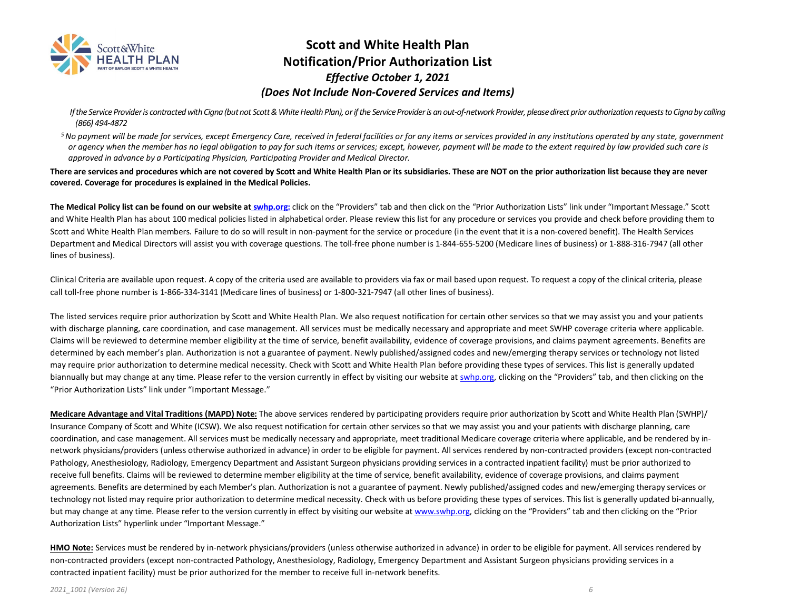

### **Scott and White Health Plan Notification/Prior Authorization List**  *Effective October 1, 2021 (Does Not Include Non-Covered Services and Items)*

 *If the Service Provider is contracted with Cigna (but not Scott & White Health Plan), or if the Service Provider is an out-of-network Provider, please direct prior authorization requests to Cigna by calling (866) 494-4872* 

*5 No payment will be made for services, except Emergency Care, received in federal facilities or for any items or services provided in any institutions operated by any state, government or agency when the member has no legal obligation to pay for such items or services; except, however, payment will be made to the extent required by law provided such care is approved in advance by a Participating Physician, Participating Provider and Medical Director.* 

**There are services and procedures which are not covered by Scott and White Health Plan or its subsidiaries. These are NOT on the prior authorization list because they are never covered. Coverage for procedures is explained in the Medical Policies.** 

**The Medical Policy list can be found on our website at swhp.org:** click on the "Providers" tab and then click on the "Prior Authorization Lists" link under "Important Message." Scott and White Health Plan has about 100 medical policies listed in alphabetical order. Please review this list for any procedure or services you provide and check before providing them to Scott and White Health Plan members. Failure to do so will result in non-payment for the service or procedure (in the event that it is a non-covered benefit). The Health Services Department and Medical Directors will assist you with coverage questions. The toll-free phone number is 1-844-655-5200 (Medicare lines of business) or 1-888-316-7947 (all other lines of business).

Clinical Criteria are available upon request. A copy of the criteria used are available to providers via fax or mail based upon request. To request a copy of the clinical criteria, please call toll-free phone number is 1-866-334-3141 (Medicare lines of business) or 1-800-321-7947 (all other lines of business).

The listed services require prior authorization by Scott and White Health Plan. We also request notification for certain other services so that we may assist you and your patients with discharge planning, care coordination, and case management. All services must be medically necessary and appropriate and meet SWHP coverage criteria where applicable. Claims will be reviewed to determine member eligibility at the time of service, benefit availability, evidence of coverage provisions, and claims payment agreements. Benefits are determined by each member's plan. Authorization is not a guarantee of payment. Newly published/assigned codes and new/emerging therapy services or technology not listed may require prior authorization to determine medical necessity. Check with Scott and White Health Plan before providing these types of services. This list is generally updated biannually but may change at any time. Please refer to the version currently in effect by visiting our website at swhp.org, clicking on the "Providers" tab, and then clicking on the "Prior Authorization Lists" link under "Important Message."

**Medicare Advantage and Vital Traditions (MAPD) Note:** The above services rendered by participating providers require prior authorization by Scott and White Health Plan (SWHP)/ Insurance Company of Scott and White (ICSW). We also request notification for certain other services so that we may assist you and your patients with discharge planning, care coordination, and case management. All services must be medically necessary and appropriate, meet traditional Medicare coverage criteria where applicable, and be rendered by innetwork physicians/providers (unless otherwise authorized in advance) in order to be eligible for payment. All services rendered by non-contracted providers (except non-contracted Pathology, Anesthesiology, Radiology, Emergency Department and Assistant Surgeon physicians providing services in a contracted inpatient facility) must be prior authorized to receive full benefits. Claims will be reviewed to determine member eligibility at the time of service, benefit availability, evidence of coverage provisions, and claims payment agreements. Benefits are determined by each Member's plan. Authorization is not a guarantee of payment. Newly published/assigned codes and new/emerging therapy services or technology not listed may require prior authorization to determine medical necessity. Check with us before providing these types of services. This list is generally updated bi-annually, but may change at any time. Please refer to the version currently in effect by visiting our website at <u>www.swhp.org</u>, clicking on the "Providers" tab and then clicking on the "Prior Authorization Lists" hyperlink under "Important Message."

**HMO Note:** Services must be rendered by in-network physicians/providers (unless otherwise authorized in advance) in order to be eligible for payment. All services rendered by non-contracted providers (except non-contracted Pathology, Anesthesiology, Radiology, Emergency Department and Assistant Surgeon physicians providing services in a contracted inpatient facility) must be prior authorized for the member to receive full in-network benefits.

*2021\_1001 (Version 26) 6*